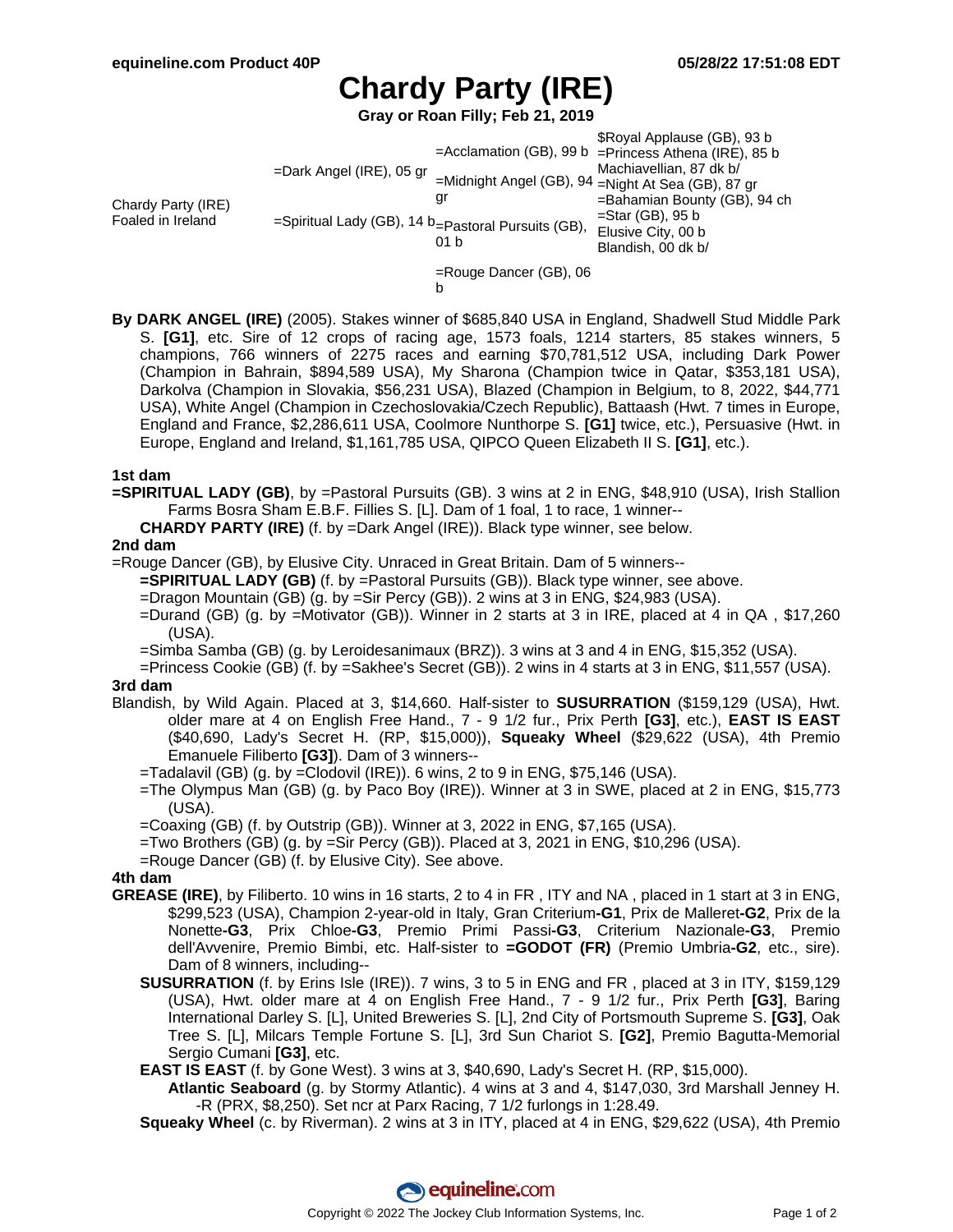# **Chardy Party (IRE)**

**Gray or Roan Filly; Feb 21, 2019**

Chardy Party (IRE) Foaled in Ireland =Dark Angel (IRE), 05 gr =Spiritual Lady (GB), 14 b =Pastoral Pursuits (GB), =Acclamation (GB), 99 b =Princess Athena (IRE), 85 b =Midnight Angel (GB), 94 =Night At Sea (GB), 87 gr gr 01 b \$Royal Applause (GB), 93 b Machiavellian, 87 dk b/ =Bahamian Bounty (GB), 94 ch  $=$ Star (GB), 95 b Elusive City, 00 b Blandish, 00 dk b/

=Rouge Dancer (GB), 06

b

**By DARK ANGEL (IRE)** (2005). Stakes winner of \$685,840 USA in England, Shadwell Stud Middle Park S. **[G1]**, etc. Sire of 12 crops of racing age, 1573 foals, 1214 starters, 85 stakes winners, 5 champions, 766 winners of 2275 races and earning \$70,781,512 USA, including Dark Power (Champion in Bahrain, \$894,589 USA), My Sharona (Champion twice in Qatar, \$353,181 USA), Darkolva (Champion in Slovakia, \$56,231 USA), Blazed (Champion in Belgium, to 8, 2022, \$44,771 USA), White Angel (Champion in Czechoslovakia/Czech Republic), Battaash (Hwt. 7 times in Europe, England and France, \$2,286,611 USA, Coolmore Nunthorpe S. **[G1]** twice, etc.), Persuasive (Hwt. in Europe, England and Ireland, \$1,161,785 USA, QIPCO Queen Elizabeth II S. **[G1]**, etc.).

## **1st dam**

**=SPIRITUAL LADY (GB)**, by =Pastoral Pursuits (GB). 3 wins at 2 in ENG, \$48,910 (USA), Irish Stallion Farms Bosra Sham E.B.F. Fillies S. [L]. Dam of 1 foal, 1 to race, 1 winner--

**CHARDY PARTY (IRE)** (f. by =Dark Angel (IRE)). Black type winner, see below.

### **2nd dam**

=Rouge Dancer (GB), by Elusive City. Unraced in Great Britain. Dam of 5 winners--

**=SPIRITUAL LADY (GB)** (f. by =Pastoral Pursuits (GB)). Black type winner, see above.

- =Dragon Mountain (GB) (g. by =Sir Percy (GB)). 2 wins at 3 in ENG, \$24,983 (USA).
- =Durand (GB) (g. by =Motivator (GB)). Winner in 2 starts at 3 in IRE, placed at 4 in QA , \$17,260 (USA).
- =Simba Samba (GB) (g. by Leroidesanimaux (BRZ)). 3 wins at 3 and 4 in ENG, \$15,352 (USA).
- =Princess Cookie (GB) (f. by =Sakhee's Secret (GB)). 2 wins in 4 starts at 3 in ENG, \$11,557 (USA). **3rd dam**

- Blandish, by Wild Again. Placed at 3, \$14,660. Half-sister to **SUSURRATION** (\$159,129 (USA), Hwt. older mare at 4 on English Free Hand., 7 - 9 1/2 fur., Prix Perth **[G3]**, etc.), **EAST IS EAST** (\$40,690, Lady's Secret H. (RP, \$15,000)), **Squeaky Wheel** (\$29,622 (USA), 4th Premio Emanuele Filiberto **[G3]**). Dam of 3 winners--
	- =Tadalavil (GB) (g. by =Clodovil (IRE)). 6 wins, 2 to 9 in ENG, \$75,146 (USA).
	- =The Olympus Man (GB) (g. by Paco Boy (IRE)). Winner at 3 in SWE, placed at 2 in ENG, \$15,773 (USA).
	- =Coaxing (GB) (f. by Outstrip (GB)). Winner at 3, 2022 in ENG, \$7,165 (USA).
	- =Two Brothers (GB) (g. by =Sir Percy (GB)). Placed at 3, 2021 in ENG, \$10,296 (USA).
	- =Rouge Dancer (GB) (f. by Elusive City). See above.

## **4th dam**

- **GREASE (IRE)**, by Filiberto. 10 wins in 16 starts, 2 to 4 in FR , ITY and NA , placed in 1 start at 3 in ENG, \$299,523 (USA), Champion 2-year-old in Italy, Gran Criterium**-G1**, Prix de Malleret**-G2**, Prix de la Nonette**-G3**, Prix Chloe**-G3**, Premio Primi Passi**-G3**, Criterium Nazionale**-G3**, Premio dell'Avvenire, Premio Bimbi, etc. Half-sister to **=GODOT (FR)** (Premio Umbria**-G2**, etc., sire). Dam of 8 winners, including--
	- **SUSURRATION** (f. by Erins Isle (IRE)). 7 wins, 3 to 5 in ENG and FR , placed at 3 in ITY, \$159,129 (USA), Hwt. older mare at 4 on English Free Hand., 7 - 9 1/2 fur., Prix Perth **[G3]**, Baring International Darley S. [L], United Breweries S. [L], 2nd City of Portsmouth Supreme S. **[G3]**, Oak Tree S. [L], Milcars Temple Fortune S. [L], 3rd Sun Chariot S. **[G2]**, Premio Bagutta-Memorial Sergio Cumani **[G3]**, etc.

**EAST IS EAST** (f. by Gone West). 3 wins at 3, \$40,690, Lady's Secret H. (RP, \$15,000).

**Atlantic Seaboard** (g. by Stormy Atlantic). 4 wins at 3 and 4, \$147,030, 3rd Marshall Jenney H. -R (PRX, \$8,250). Set ncr at Parx Racing, 7 1/2 furlongs in 1:28.49.

**Squeaky Wheel** (c. by Riverman). 2 wins at 3 in ITY, placed at 4 in ENG, \$29,622 (USA), 4th Premio